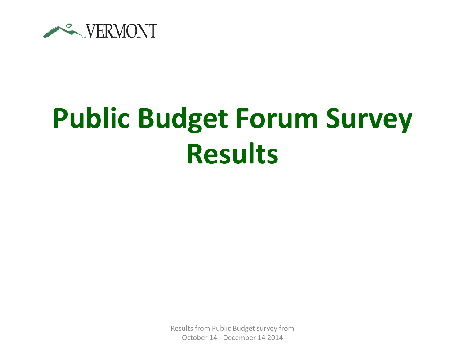

## **Public Budget Forum Survey Results**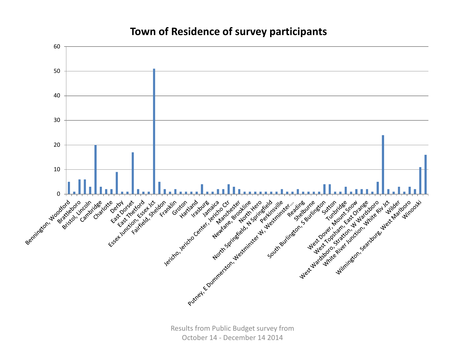## **Town of Residence of survey participants**

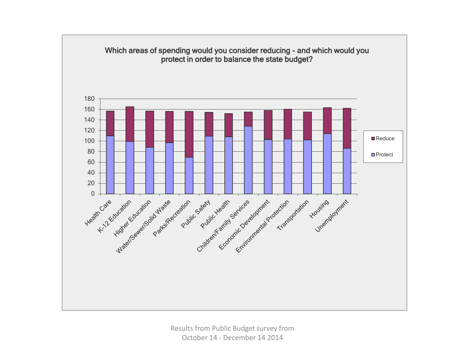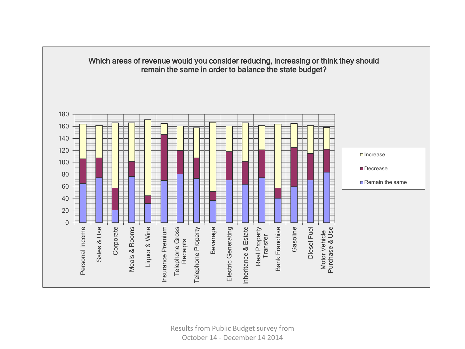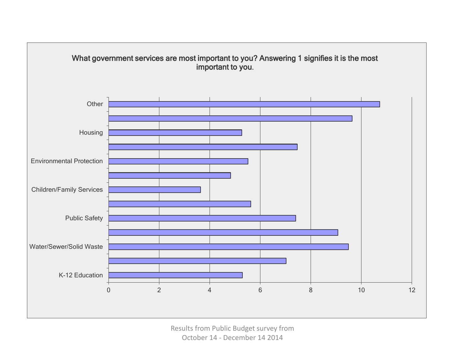